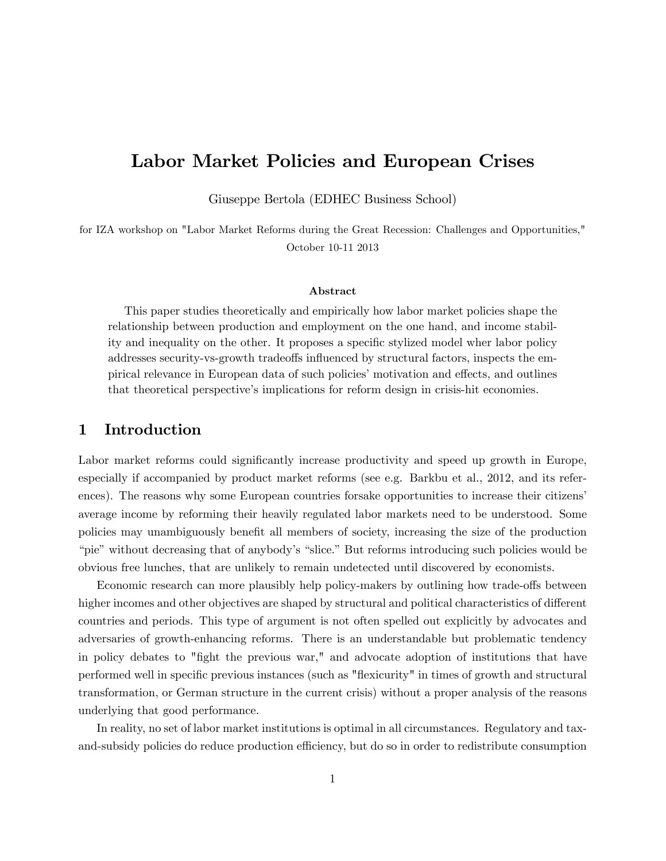# Labor Market Policies and European Crises

Giuseppe Bertola (EDHEC Business School)

for IZA workshop on "Labor Market Reforms during the Great Recession: Challenges and Opportunities," October 10-11 2013

#### Abstract

This paper studies theoretically and empirically how labor market policies shape the relationship between production and employment on the one hand, and income stability and inequality on the other. It proposes a specific stylized model wher labor policy addresses security-vs-growth tradeoffs influenced by structural factors, inspects the empirical relevance in European data of such policies' motivation and effects, and outlines that theoretical perspective's implications for reform design in crisis-hit economies.

#### Introduction 1

Labor market reforms could significantly increase productivity and speed up growth in Europe, especially if accompanied by product market reforms (see e.g. Barkbu et al., 2012, and its references). The reasons why some European countries for sake opportunities to increase their citizens' average income by reforming their heavily regulated labor markets need to be understood. Some policies may unambiguously benefit all members of society, increasing the size of the production "pie" without decreasing that of anybody's "slice." But reforms introducing such policies would be obvious free lunches, that are unlikely to remain undetected until discovered by economists.

Economic research can more plausibly help policy-makers by outlining how trade-offs between higher incomes and other objectives are shaped by structural and political characteristics of different countries and periods. This type of argument is not often spelled out explicitly by advocates and adversaries of growth-enhancing reforms. There is an understandable but problematic tendency in policy debates to "fight the previous war," and advocate adoption of institutions that have performed well in specific previous instances (such as "flexicurity" in times of growth and structural transformation, or German structure in the current crisis) without a proper analysis of the reasons underlying that good performance.

In reality, no set of labor market institutions is optimal in all circumstances. Regulatory and taxand-subsidy policies do reduce production efficiency, but do so in order to redistribute consumption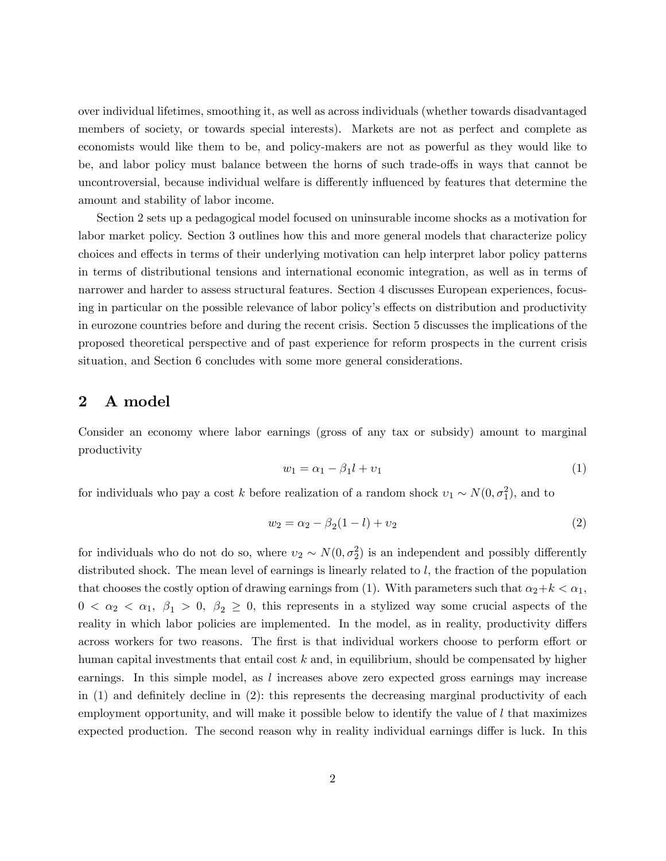over individual lifetimes, smoothing it, as well as across individuals (whether towards disadvantaged members of society, or towards special interests). Markets are not as perfect and complete as economists would like them to be, and policy-makers are not as powerful as they would like to be, and labor policy must balance between the horns of such trade-offs in ways that cannot be uncontroversial, because individual welfare is differently influenced by features that determine the amount and stability of labor income.

Section 2 sets up a pedagogical model focused on uninsurable income shocks as a motivation for labor market policy. Section 3 outlines how this and more general models that characterize policy choices and effects in terms of their underlying motivation can help interpret labor policy patterns in terms of distributional tensions and international economic integration, as well as in terms of narrower and harder to assess structural features. Section 4 discusses European experiences, focusing in particular on the possible relevance of labor policy's effects on distribution and productivity in eurozone countries before and during the recent crisis. Section 5 discusses the implications of the proposed theoretical perspective and of past experience for reform prospects in the current crisis situation, and Section 6 concludes with some more general considerations.

### 2 A model

Consider an economy where labor earnings (gross of any tax or subsidy) amount to marginal productivity

$$
w_1 = \alpha_1 - \beta_1 l + v_1 \tag{1}
$$

for individuals who pay a cost k before realization of a random shock  $v_1 \sim N(0, \sigma_1^2)$ , and to

$$
w_2 = \alpha_2 - \beta_2(1 - l) + v_2 \tag{2}
$$

for individuals who do not do so, where  $v_2 \sim N(0, \sigma_2^2)$  is an independent and possibly differently distributed shock. The mean level of earnings is linearly related to l, the fraction of the population that chooses the costly option of drawing earnings from (1). With parameters such that  $\alpha_2+k < \alpha_1$ ,  $0 < \alpha_2 < \alpha_1, \beta_1 > 0, \beta_2 \geq 0$ , this represents in a stylized way some crucial aspects of the reality in which labor policies are implemented. In the model, as in reality, productivity differs across workers for two reasons. The first is that individual workers choose to perform effort or human capital investments that entail cost  $k$  and, in equilibrium, should be compensated by higher earnings. In this simple model, as  $l$  increases above zero expected gross earnings may increase in  $(1)$  and definitely decline in  $(2)$ : this represents the decreasing marginal productivity of each employment opportunity, and will make it possible below to identify the value of  $l$  that maximizes expected production. The second reason why in reality individual earnings differ is luck. In this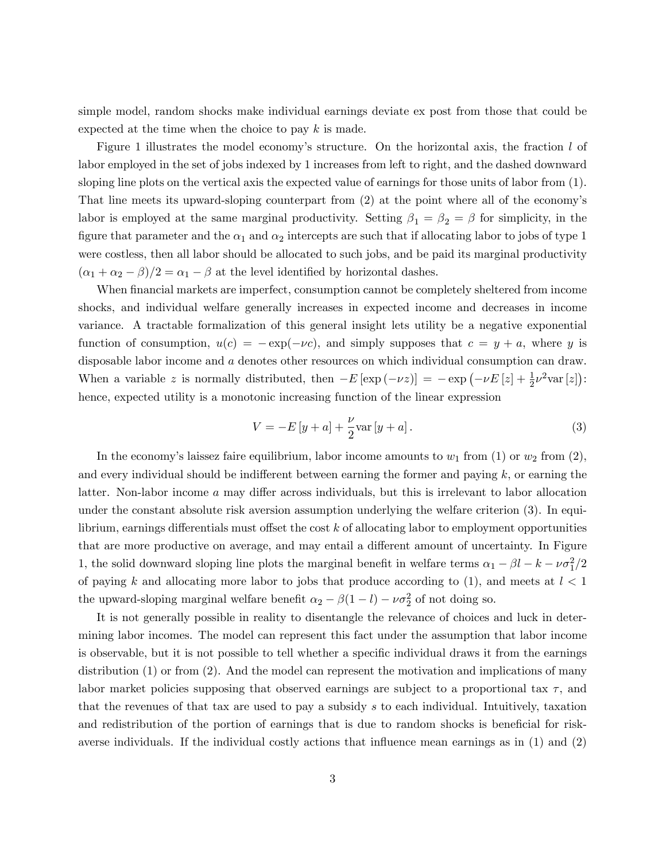simple model, random shocks make individual earnings deviate ex post from those that could be expected at the time when the choice to pay  $k$  is made.

Figure 1 illustrates the model economy's structure. On the horizontal axis, the fraction  $l$  of labor employed in the set of jobs indexed by 1 increases from left to right, and the dashed downward sloping line plots on the vertical axis the expected value of earnings for those units of labor from (1). That line meets its upward-sloping counterpart from  $(2)$  at the point where all of the economy's labor is employed at the same marginal productivity. Setting  $\beta_1 = \beta_2 = \beta$  for simplicity, in the figure that parameter and the  $\alpha_1$  and  $\alpha_2$  intercepts are such that if allocating labor to jobs of type 1 were costless, then all labor should be allocated to such jobs, and be paid its marginal productivity  $(\alpha_1 + \alpha_2 - \beta)/2 = \alpha_1 - \beta$  at the level identified by horizontal dashes.

When financial markets are imperfect, consumption cannot be completely sheltered from income shocks, and individual welfare generally increases in expected income and decreases in income variance. A tractable formalization of this general insight lets utility be a negative exponential function of consumption,  $u(c) = -\exp(-\nu c)$ , and simply supposes that  $c = y + a$ , where y is disposable labor income and a denotes other resources on which individual consumption can draw. When a variable z is normally distributed, then  $-E [\exp(-\nu z)] = -\exp(-\nu E [z] + \frac{1}{2} \nu^2 \text{var}[z])$ : hence, expected utility is a monotonic increasing function of the linear expression

$$
V = -E[y + a] + \frac{\nu}{2} \text{var}[y + a].
$$
 (3)

In the economy's laissez faire equilibrium, labor income amounts to  $w_1$  from (1) or  $w_2$  from (2), and every individual should be indifferent between earning the former and paying  $k$ , or earning the latter. Non-labor income  $a$  may differ across individuals, but this is irrelevant to labor allocation under the constant absolute risk aversion assumption underlying the welfare criterion (3). In equilibrium, earnings differentials must offset the cost  $k$  of allocating labor to employment opportunities that are more productive on average, and may entail a different amount of uncertainty. In Figure 1, the solid downward sloping line plots the marginal benefit in welfare terms  $\alpha_1 - \beta l - k - \nu \sigma_1^2/2$ of paying k and allocating more labor to jobs that produce according to  $(1)$ , and meets at  $l < 1$ the upward-sloping marginal welfare benefit  $\alpha_2 - \beta(1 - l) - \nu \sigma_2^2$  of not doing so.

It is not generally possible in reality to disentangle the relevance of choices and luck in determining labor incomes. The model can represent this fact under the assumption that labor income is observable, but it is not possible to tell whether a specific individual draws it from the earnings distribution (1) or from (2). And the model can represent the motivation and implications of many labor market policies supposing that observed earnings are subject to a proportional tax  $\tau$ , and that the revenues of that tax are used to pay a subsidy s to each individual. Intuitively, taxation and redistribution of the portion of earnings that is due to random shocks is beneficial for riskaverse individuals. If the individual costly actions that influence mean earnings as in  $(1)$  and  $(2)$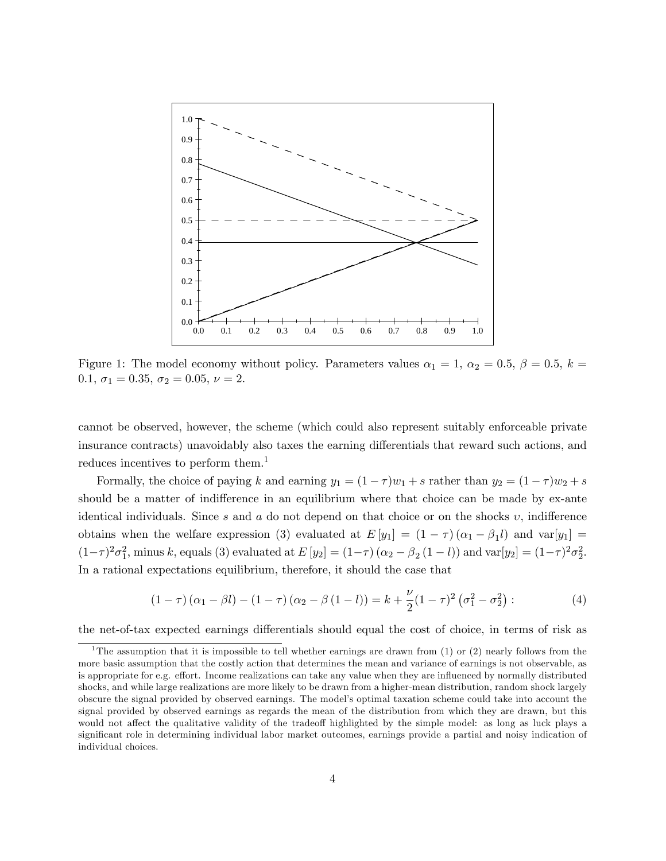

Figure 1: The model economy without policy. Parameters values  $\alpha_1 = 1, \alpha_2 = 0.5, \beta = 0.5, k = 1$ 0.1,  $\sigma_1 = 0.35, \sigma_2 = 0.05, \nu = 2.$ 

cannot be observed, however, the scheme (which could also represent suitably enforceable private insurance contracts) unavoidably also taxes the earning differentials that reward such actions, and reduces incentives to perform them.<sup>1</sup>

Formally, the choice of paying k and earning  $y_1 = (1 - \tau)w_1 + s$  rather than  $y_2 = (1 - \tau)w_2 + s$ should be a matter of indifference in an equilibrium where that choice can be made by ex-ante identical individuals. Since s and a do not depend on that choice or on the shocks  $v$ , indifference obtains when the welfare expression (3) evaluated at  $E[y_1] = (1 - \tau)(\alpha_1 - \beta_1 l)$  and  $var[y_1] =$  $(1-\tau)^2 \sigma_1^2$ , minus k, equals (3) evaluated at  $E[y_2] = (1-\tau) (\alpha_2 - \beta_2 (1-l))$  and  $var[y_2] = (1-\tau)^2 \sigma_2^2$ . In a rational expectations equilibrium, therefore, it should the case that

$$
(1 - \tau)(\alpha_1 - \beta l) - (1 - \tau)(\alpha_2 - \beta(1 - l)) = k + \frac{\nu}{2}(1 - \tau)^2(\sigma_1^2 - \sigma_2^2)
$$
 (4)

the net-of-tax expected earnings differentials should equal the cost of choice, in terms of risk as

<sup>&</sup>lt;sup>1</sup>The assumption that it is impossible to tell whether earnings are drawn from (1) or (2) nearly follows from the more basic assumption that the costly action that determines the mean and variance of earnings is not observable, as is appropriate for e.g. effort. Income realizations can take any value when they are influenced by normally distributed shocks, and while large realizations are more likely to be drawn from a higher-mean distribution, random shock largely obscure the signal provided by observed earnings. The modelís optimal taxation scheme could take into account the signal provided by observed earnings as regards the mean of the distribution from which they are drawn, but this would not affect the qualitative validity of the tradeoff highlighted by the simple model: as long as luck plays a significant role in determining individual labor market outcomes, earnings provide a partial and noisy indication of individual choices.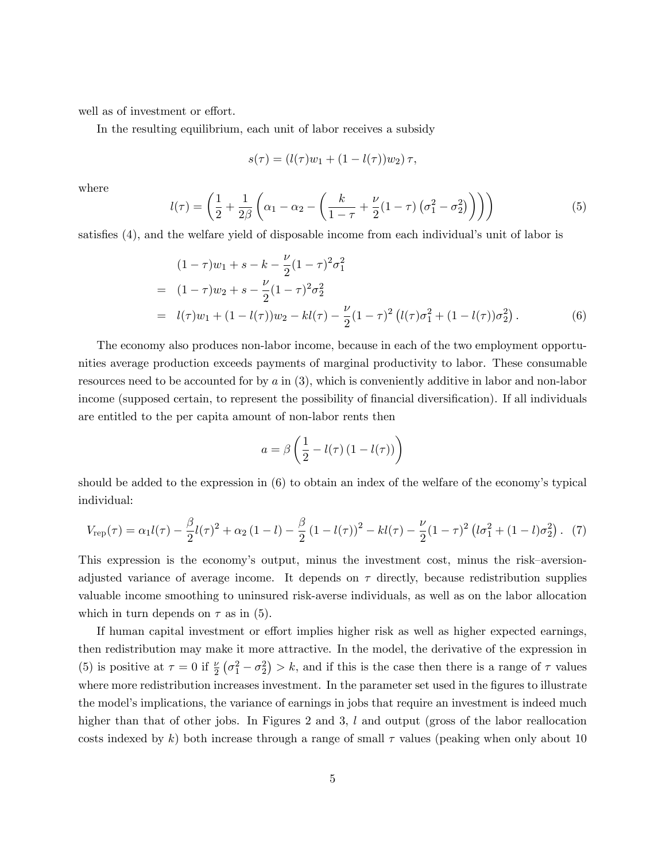well as of investment or effort.

In the resulting equilibrium, each unit of labor receives a subsidy

$$
s(\tau) = (l(\tau)w_1 + (1 - l(\tau))w_2)\tau,
$$

where

$$
l(\tau) = \left(\frac{1}{2} + \frac{1}{2\beta} \left(\alpha_1 - \alpha_2 - \left(\frac{k}{1-\tau} + \frac{\nu}{2}(1-\tau)\left(\sigma_1^2 - \sigma_2^2\right)\right)\right)\right) \tag{5}
$$

satisfies (4), and the welfare yield of disposable income from each individual's unit of labor is

$$
(1 - \tau)w_1 + s - k - \frac{\nu}{2}(1 - \tau)^2 \sigma_1^2
$$
  
=  $(1 - \tau)w_2 + s - \frac{\nu}{2}(1 - \tau)^2 \sigma_2^2$   
=  $l(\tau)w_1 + (1 - l(\tau))w_2 - kl(\tau) - \frac{\nu}{2}(1 - \tau)^2 (l(\tau)\sigma_1^2 + (1 - l(\tau))\sigma_2^2).$  (6)

The economy also produces non-labor income, because in each of the two employment opportunities average production exceeds payments of marginal productivity to labor. These consumable resources need to be accounted for by  $a$  in  $(3)$ , which is conveniently additive in labor and non-labor income (supposed certain, to represent the possibility of financial diversification). If all individuals are entitled to the per capita amount of non-labor rents then

$$
a = \beta \left( \frac{1}{2} - l(\tau) \left( 1 - l(\tau) \right) \right)
$$

should be added to the expression in  $(6)$  to obtain an index of the welfare of the economy's typical individual:

$$
V_{\rm rep}(\tau) = \alpha_1 l(\tau) - \frac{\beta}{2} l(\tau)^2 + \alpha_2 (1 - l) - \frac{\beta}{2} (1 - l(\tau))^2 - kl(\tau) - \frac{\nu}{2} (1 - \tau)^2 (l\sigma_1^2 + (1 - l)\sigma_2^2).
$$
 (7)

This expression is the economy's output, minus the investment cost, minus the risk–aversionadjusted variance of average income. It depends on  $\tau$  directly, because redistribution supplies valuable income smoothing to uninsured risk-averse individuals, as well as on the labor allocation which in turn depends on  $\tau$  as in (5).

If human capital investment or effort implies higher risk as well as higher expected earnings, then redistribution may make it more attractive. In the model, the derivative of the expression in (5) is positive at  $\tau = 0$  if  $\frac{\nu}{2}(\sigma_1^2 - \sigma_2^2) > k$ , and if this is the case then there is a range of  $\tau$  values where more redistribution increases investment. In the parameter set used in the figures to illustrate the model's implications, the variance of earnings in jobs that require an investment is indeed much higher than that of other jobs. In Figures 2 and 3, l and output (gross of the labor reallocation costs indexed by k) both increase through a range of small  $\tau$  values (peaking when only about 10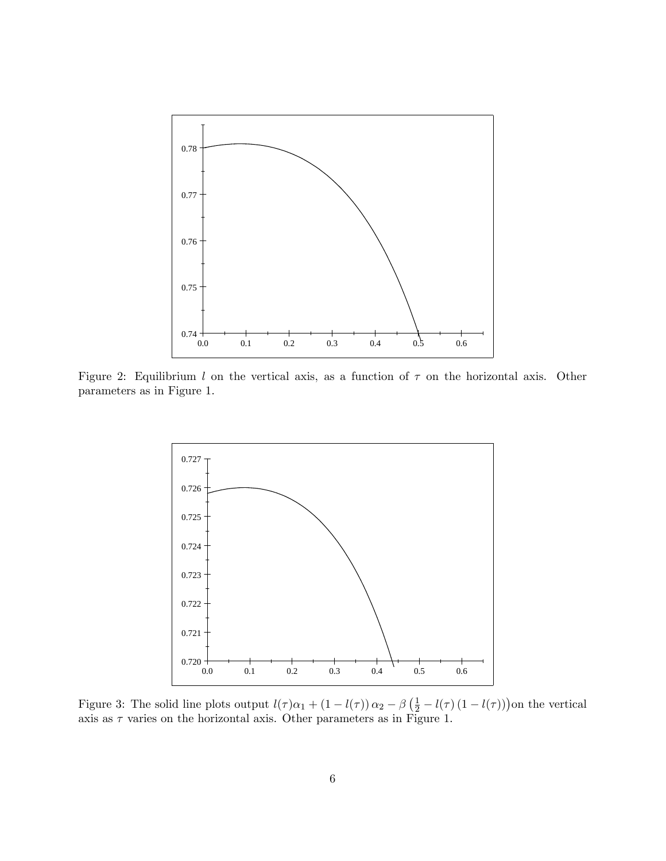

Figure 2: Equilibrium l on the vertical axis, as a function of  $\tau$  on the horizontal axis. Other parameters as in Figure 1.



Figure 3: The solid line plots output  $l(\tau)\alpha_1 + (1 - l(\tau)) \alpha_2 - \beta(\frac{1}{2} - l(\tau) (1 - l(\tau)))$  on the vertical axis as  $\tau$  varies on the horizontal axis. Other parameters as in Figure 1.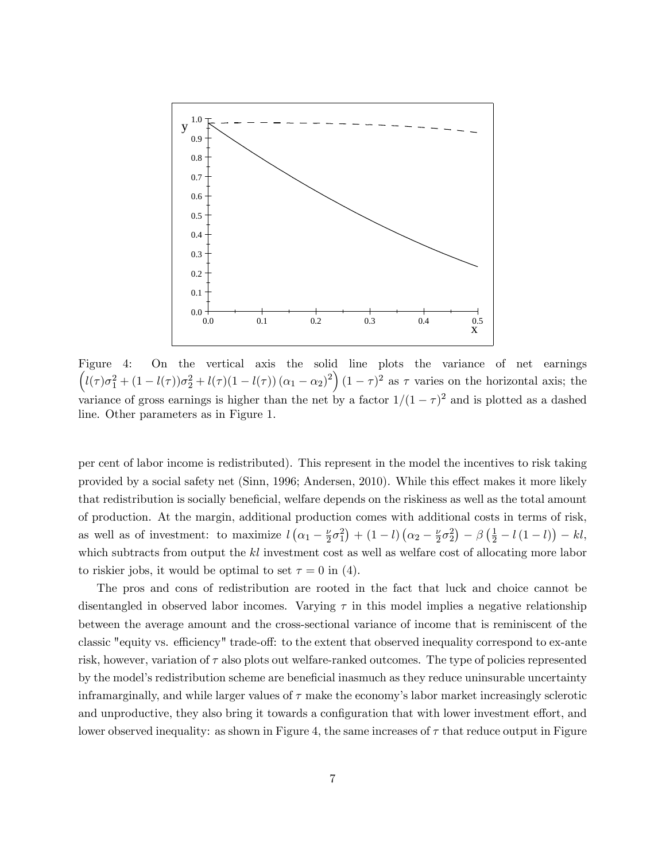

Figure 4: On the vertical axis the solid line plots the variance of net earnings  $\left(l(\tau)\sigma_1^2+(1-l(\tau))\sigma_2^2+l(\tau)(1-l(\tau))(\alpha_1-\alpha_2)^2\right)(1-\tau)^2$  as  $\tau$  varies on the horizontal axis; the variance of gross earnings is higher than the net by a factor  $1/(1 - \tau)^2$  and is plotted as a dashed line. Other parameters as in Figure 1.

per cent of labor income is redistributed). This represent in the model the incentives to risk taking provided by a social safety net (Sinn, 1996; Andersen, 2010). While this effect makes it more likely that redistribution is socially beneficial, welfare depends on the riskiness as well as the total amount of production. At the margin, additional production comes with additional costs in terms of risk, as well as of investment: to maximize  $l(\alpha_1 - \frac{\nu}{2})$  $(\frac{\nu}{2}\sigma_1^2) + (1-l)(\alpha_2 - \frac{\nu}{2})$  $\frac{\nu}{2}\sigma_2^2$  –  $\beta\left(\frac{1}{2} - l(1-l)\right) - kl$ , which subtracts from output the  $kl$  investment cost as well as welfare cost of allocating more labor to riskier jobs, it would be optimal to set  $\tau = 0$  in (4).

The pros and cons of redistribution are rooted in the fact that luck and choice cannot be disentangled in observed labor incomes. Varying  $\tau$  in this model implies a negative relationship between the average amount and the cross-sectional variance of income that is reminiscent of the classic "equity vs. efficiency" trade-off: to the extent that observed inequality correspond to ex-ante risk, however, variation of  $\tau$  also plots out welfare-ranked outcomes. The type of policies represented by the model's redistribution scheme are beneficial inasmuch as they reduce uninsurable uncertainty inframarginally, and while larger values of  $\tau$  make the economy's labor market increasingly sclerotic and unproductive, they also bring it towards a configuration that with lower investment effort, and lower observed inequality: as shown in Figure 4, the same increases of  $\tau$  that reduce output in Figure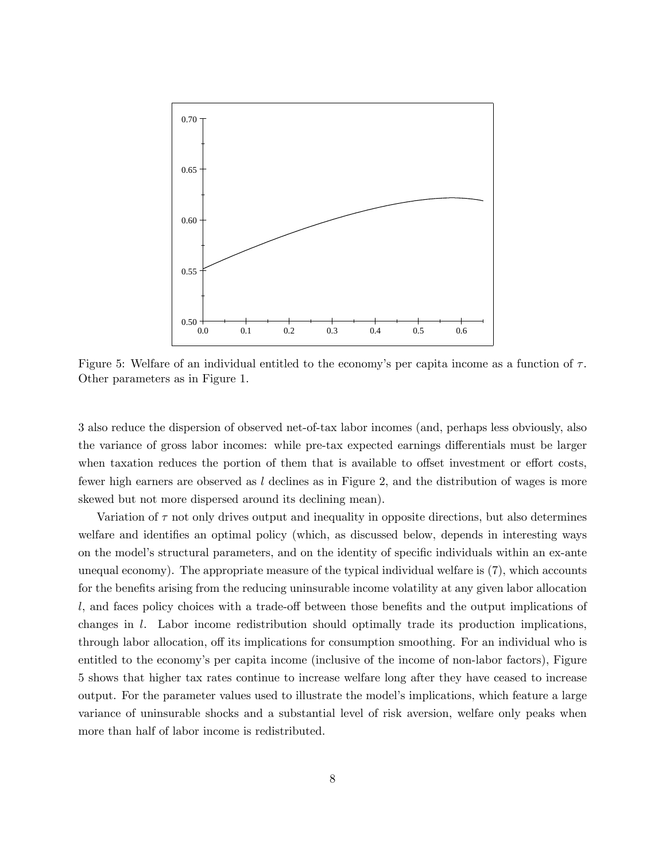

Figure 5: Welfare of an individual entitled to the economy's per capita income as a function of  $\tau$ . Other parameters as in Figure 1.

3 also reduce the dispersion of observed net-of-tax labor incomes (and, perhaps less obviously, also the variance of gross labor incomes: while pre-tax expected earnings differentials must be larger when taxation reduces the portion of them that is available to offset investment or effort costs, fewer high earners are observed as  $l$  declines as in Figure 2, and the distribution of wages is more skewed but not more dispersed around its declining mean).

Variation of  $\tau$  not only drives output and inequality in opposite directions, but also determines welfare and identifies an optimal policy (which, as discussed below, depends in interesting ways on the model's structural parameters, and on the identity of specific individuals within an ex-ante unequal economy). The appropriate measure of the typical individual welfare is (7), which accounts for the benefits arising from the reducing uninsurable income volatility at any given labor allocation  $l$ , and faces policy choices with a trade-off between those benefits and the output implications of changes in l. Labor income redistribution should optimally trade its production implications, through labor allocation, off its implications for consumption smoothing. For an individual who is entitled to the economy's per capita income (inclusive of the income of non-labor factors), Figure 5 shows that higher tax rates continue to increase welfare long after they have ceased to increase output. For the parameter values used to illustrate the modelís implications, which feature a large variance of uninsurable shocks and a substantial level of risk aversion, welfare only peaks when more than half of labor income is redistributed.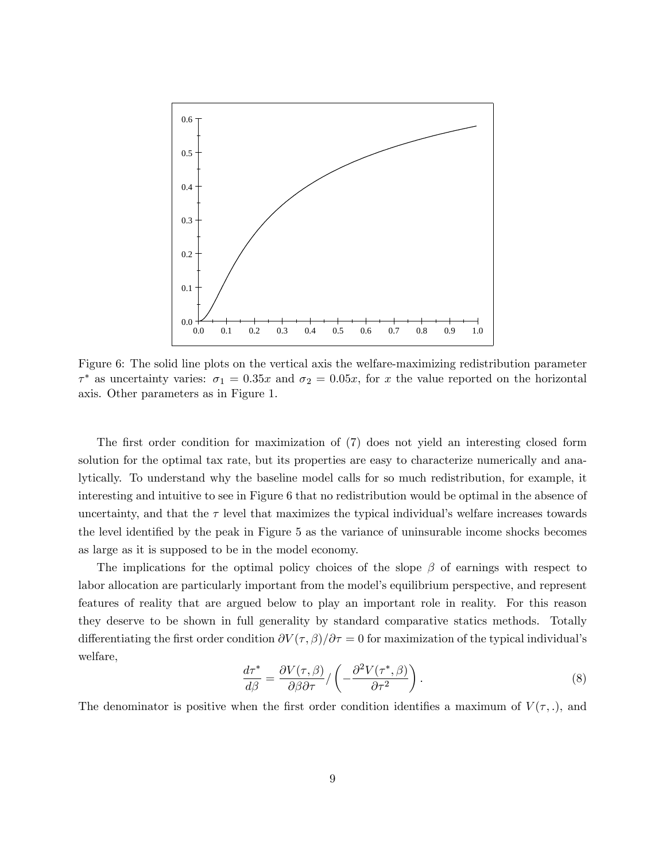

Figure 6: The solid line plots on the vertical axis the welfare-maximizing redistribution parameter  $\tau^*$  as uncertainty varies:  $\sigma_1 = 0.35x$  and  $\sigma_2 = 0.05x$ , for x the value reported on the horizontal axis. Other parameters as in Figure 1.

The first order condition for maximization of (7) does not yield an interesting closed form solution for the optimal tax rate, but its properties are easy to characterize numerically and analytically. To understand why the baseline model calls for so much redistribution, for example, it interesting and intuitive to see in Figure 6 that no redistribution would be optimal in the absence of uncertainty, and that the  $\tau$  level that maximizes the typical individual's welfare increases towards the level identified by the peak in Figure 5 as the variance of uninsurable income shocks becomes as large as it is supposed to be in the model economy.

The implications for the optimal policy choices of the slope  $\beta$  of earnings with respect to labor allocation are particularly important from the model's equilibrium perspective, and represent features of reality that are argued below to play an important role in reality. For this reason they deserve to be shown in full generality by standard comparative statics methods. Totally differentiating the first order condition  $\partial V(\tau,\beta)/\partial \tau = 0$  for maximization of the typical individual's welfare,

$$
\frac{d\tau^*}{d\beta} = \frac{\partial V(\tau, \beta)}{\partial \beta \partial \tau} / \left( -\frac{\partial^2 V(\tau^*, \beta)}{\partial \tau^2} \right).
$$
\n(8)

The denominator is positive when the first order condition identifies a maximum of  $V(\tau, \cdot)$ , and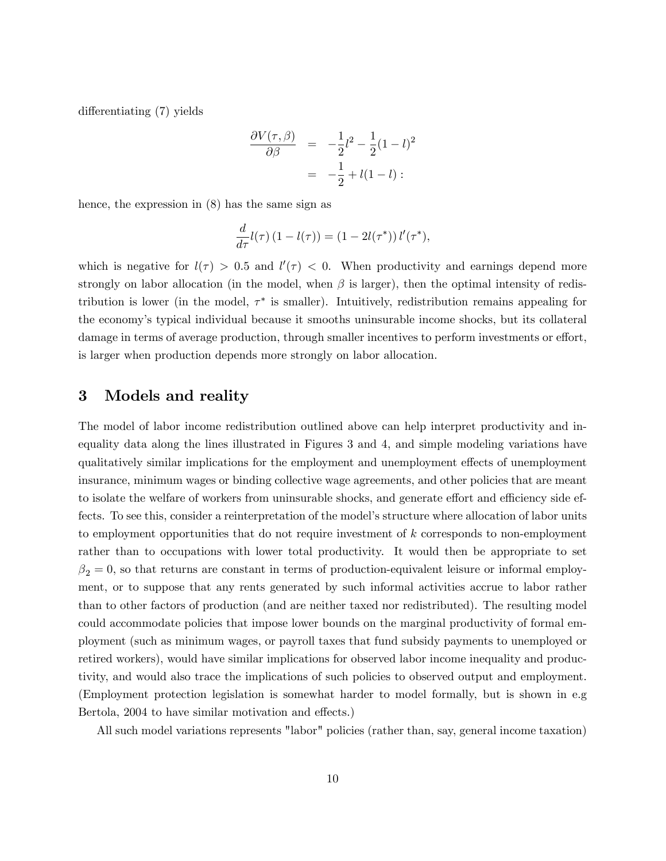differentiating (7) yields

$$
\frac{\partial V(\tau,\beta)}{\partial \beta} = -\frac{1}{2}l^2 - \frac{1}{2}(1-l)^2
$$
  
=  $-\frac{1}{2} + l(1-l)$ :

hence, the expression in (8) has the same sign as

$$
\frac{d}{d\tau}l(\tau)\left(1-l(\tau)\right)=(1-2l(\tau^*))\,l'(\tau^*),
$$

which is negative for  $l(\tau) > 0.5$  and  $l'(\tau) < 0$ . When productivity and earnings depend more strongly on labor allocation (in the model, when  $\beta$  is larger), then the optimal intensity of redistribution is lower (in the model,  $\tau^*$  is smaller). Intuitively, redistribution remains appealing for the economyís typical individual because it smooths uninsurable income shocks, but its collateral damage in terms of average production, through smaller incentives to perform investments or effort, is larger when production depends more strongly on labor allocation.

### 3 Models and reality

The model of labor income redistribution outlined above can help interpret productivity and inequality data along the lines illustrated in Figures 3 and 4, and simple modeling variations have qualitatively similar implications for the employment and unemployment effects of unemployment insurance, minimum wages or binding collective wage agreements, and other policies that are meant to isolate the welfare of workers from uninsurable shocks, and generate effort and efficiency side effects. To see this, consider a reinterpretation of the model's structure where allocation of labor units to employment opportunities that do not require investment of k corresponds to non-employment rather than to occupations with lower total productivity. It would then be appropriate to set  $\beta_2 = 0$ , so that returns are constant in terms of production-equivalent leisure or informal employment, or to suppose that any rents generated by such informal activities accrue to labor rather than to other factors of production (and are neither taxed nor redistributed). The resulting model could accommodate policies that impose lower bounds on the marginal productivity of formal employment (such as minimum wages, or payroll taxes that fund subsidy payments to unemployed or retired workers), would have similar implications for observed labor income inequality and productivity, and would also trace the implications of such policies to observed output and employment. (Employment protection legislation is somewhat harder to model formally, but is shown in e.g Bertola, 2004 to have similar motivation and effects.)

All such model variations represents "labor" policies (rather than, say, general income taxation)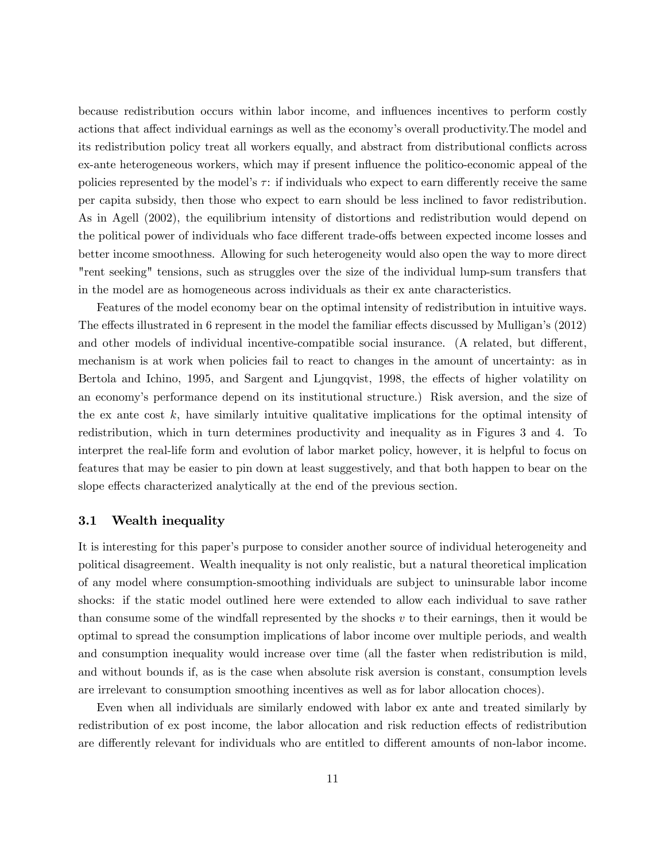because redistribution occurs within labor income, and ináuences incentives to perform costly actions that affect individual earnings as well as the economy's overall productivity. The model and its redistribution policy treat all workers equally, and abstract from distributional conflicts across ex-ante heterogeneous workers, which may if present ináuence the politico-economic appeal of the policies represented by the model's  $\tau$ : if individuals who expect to earn differently receive the same per capita subsidy, then those who expect to earn should be less inclined to favor redistribution. As in Agell (2002), the equilibrium intensity of distortions and redistribution would depend on the political power of individuals who face different trade-offs between expected income losses and better income smoothness. Allowing for such heterogeneity would also open the way to more direct "rent seeking" tensions, such as struggles over the size of the individual lump-sum transfers that in the model are as homogeneous across individuals as their ex ante characteristics.

Features of the model economy bear on the optimal intensity of redistribution in intuitive ways. The effects illustrated in 6 represent in the model the familiar effects discussed by Mulligan's (2012) and other models of individual incentive-compatible social insurance. (A related, but different, mechanism is at work when policies fail to react to changes in the amount of uncertainty: as in Bertola and Ichino, 1995, and Sargent and Ljungqvist, 1998, the effects of higher volatility on an economy's performance depend on its institutional structure.) Risk aversion, and the size of the ex ante cost  $k$ , have similarly intuitive qualitative implications for the optimal intensity of redistribution, which in turn determines productivity and inequality as in Figures 3 and 4. To interpret the real-life form and evolution of labor market policy, however, it is helpful to focus on features that may be easier to pin down at least suggestively, and that both happen to bear on the slope effects characterized analytically at the end of the previous section.

#### 3.1 Wealth inequality

It is interesting for this paper's purpose to consider another source of individual heterogeneity and political disagreement. Wealth inequality is not only realistic, but a natural theoretical implication of any model where consumption-smoothing individuals are subject to uninsurable labor income shocks: if the static model outlined here were extended to allow each individual to save rather than consume some of the windfall represented by the shocks  $v$  to their earnings, then it would be optimal to spread the consumption implications of labor income over multiple periods, and wealth and consumption inequality would increase over time (all the faster when redistribution is mild, and without bounds if, as is the case when absolute risk aversion is constant, consumption levels are irrelevant to consumption smoothing incentives as well as for labor allocation choces).

Even when all individuals are similarly endowed with labor ex ante and treated similarly by redistribution of ex post income, the labor allocation and risk reduction effects of redistribution are differently relevant for individuals who are entitled to different amounts of non-labor income.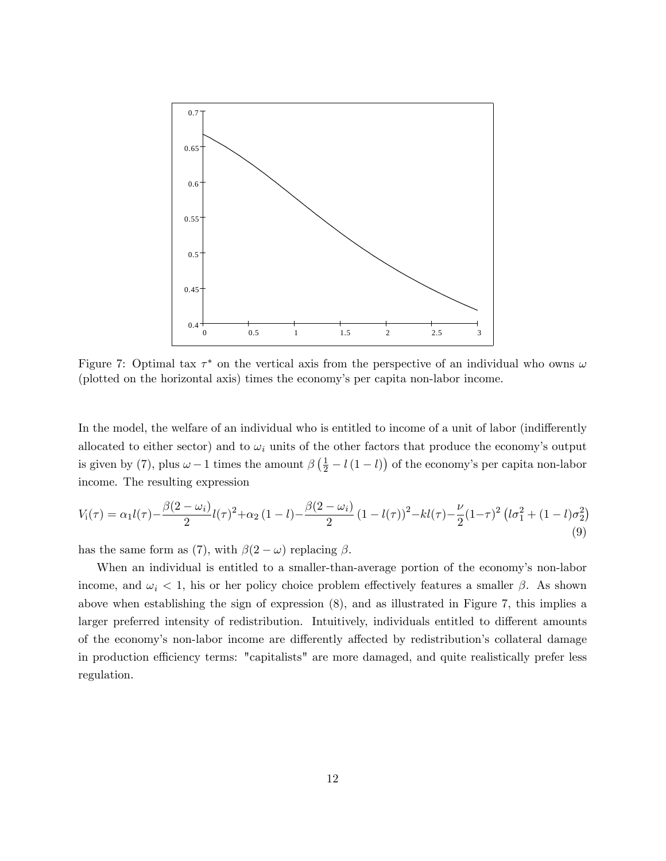

Figure 7: Optimal tax  $\tau^*$  on the vertical axis from the perspective of an individual who owns  $\omega$ (plotted on the horizontal axis) times the economyís per capita non-labor income.

In the model, the welfare of an individual who is entitled to income of a unit of labor (indifferently allocated to either sector) and to  $\omega_i$  units of the other factors that produce the economy's output is given by (7), plus  $\omega - 1$  times the amount  $\beta \left( \frac{1}{2} - l(1 - l) \right)$  of the economy's per capita non-labor income. The resulting expression

$$
V_{i}(\tau) = \alpha_{1} l(\tau) - \frac{\beta(2 - \omega_{i})}{2} l(\tau)^{2} + \alpha_{2} (1 - l) - \frac{\beta(2 - \omega_{i})}{2} (1 - l(\tau))^{2} - kl(\tau) - \frac{\nu}{2} (1 - \tau)^{2} (l\sigma_{1}^{2} + (1 - l)\sigma_{2}^{2})
$$
\n(9)

has the same form as (7), with  $\beta(2-\omega)$  replacing  $\beta$ .

When an individual is entitled to a smaller-than-average portion of the economy's non-labor income, and  $\omega_i < 1$ , his or her policy choice problem effectively features a smaller  $\beta$ . As shown above when establishing the sign of expression (8), and as illustrated in Figure 7, this implies a larger preferred intensity of redistribution. Intuitively, individuals entitled to different amounts of the economy's non-labor income are differently affected by redistribution's collateral damage in production efficiency terms: "capitalists" are more damaged, and quite realistically prefer less regulation.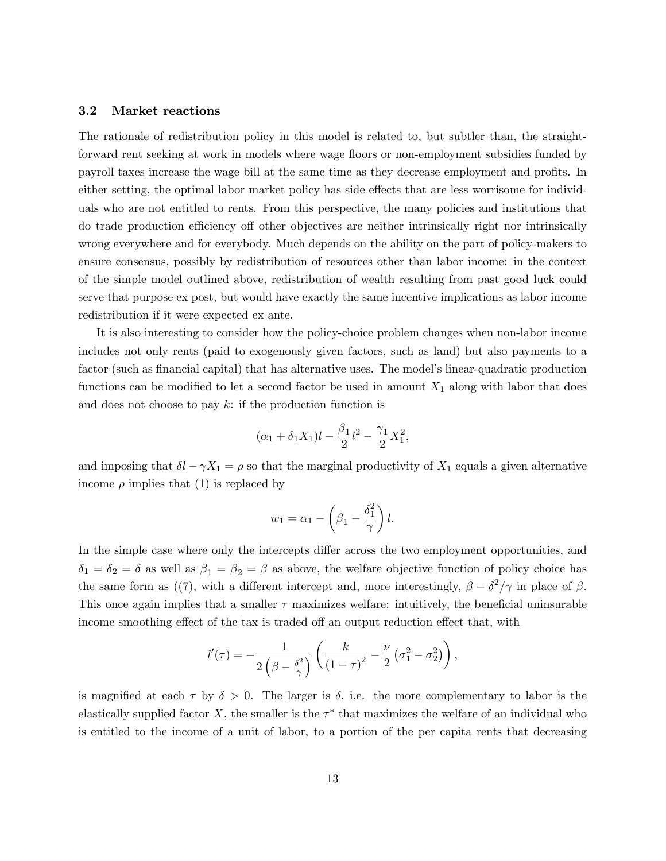### 3.2 Market reactions

The rationale of redistribution policy in this model is related to, but subtler than, the straightforward rent seeking at work in models where wage floors or non-employment subsidies funded by payroll taxes increase the wage bill at the same time as they decrease employment and profits. In either setting, the optimal labor market policy has side effects that are less worrisome for individuals who are not entitled to rents. From this perspective, the many policies and institutions that do trade production efficiency of other objectives are neither intrinsically right nor intrinsically wrong everywhere and for everybody. Much depends on the ability on the part of policy-makers to ensure consensus, possibly by redistribution of resources other than labor income: in the context of the simple model outlined above, redistribution of wealth resulting from past good luck could serve that purpose ex post, but would have exactly the same incentive implications as labor income redistribution if it were expected ex ante.

It is also interesting to consider how the policy-choice problem changes when non-labor income includes not only rents (paid to exogenously given factors, such as land) but also payments to a factor (such as financial capital) that has alternative uses. The model's linear-quadratic production functions can be modified to let a second factor be used in amount  $X_1$  along with labor that does and does not choose to pay  $k$ : if the production function is

$$
(\alpha_1 + \delta_1 X_1)l - \frac{\beta_1}{2}l^2 - \frac{\gamma_1}{2}X_1^2,
$$

and imposing that  $\delta l - \gamma X_1 = \rho$  so that the marginal productivity of  $X_1$  equals a given alternative income  $\rho$  implies that (1) is replaced by

$$
w_1 = \alpha_1 - \left(\beta_1 - \frac{\delta_1^2}{\gamma}\right)l.
$$

In the simple case where only the intercepts differ across the two employment opportunities, and  $\delta_1 = \delta_2 = \delta$  as well as  $\beta_1 = \beta_2 = \beta$  as above, the welfare objective function of policy choice has the same form as ((7), with a different intercept and, more interestingly,  $\beta - \delta^2/\gamma$  in place of  $\beta$ . This once again implies that a smaller  $\tau$  maximizes welfare: intuitively, the beneficial uninsurable income smoothing effect of the tax is traded off an output reduction effect that, with

$$
l'(\tau) = -\frac{1}{2\left(\beta - \frac{\delta^2}{\gamma}\right)} \left(\frac{k}{\left(1 - \tau\right)^2} - \frac{\nu}{2} \left(\sigma_1^2 - \sigma_2^2\right)\right),\,
$$

is magnified at each  $\tau$  by  $\delta > 0$ . The larger is  $\delta$ , i.e. the more complementary to labor is the elastically supplied factor X, the smaller is the  $\tau^*$  that maximizes the welfare of an individual who is entitled to the income of a unit of labor, to a portion of the per capita rents that decreasing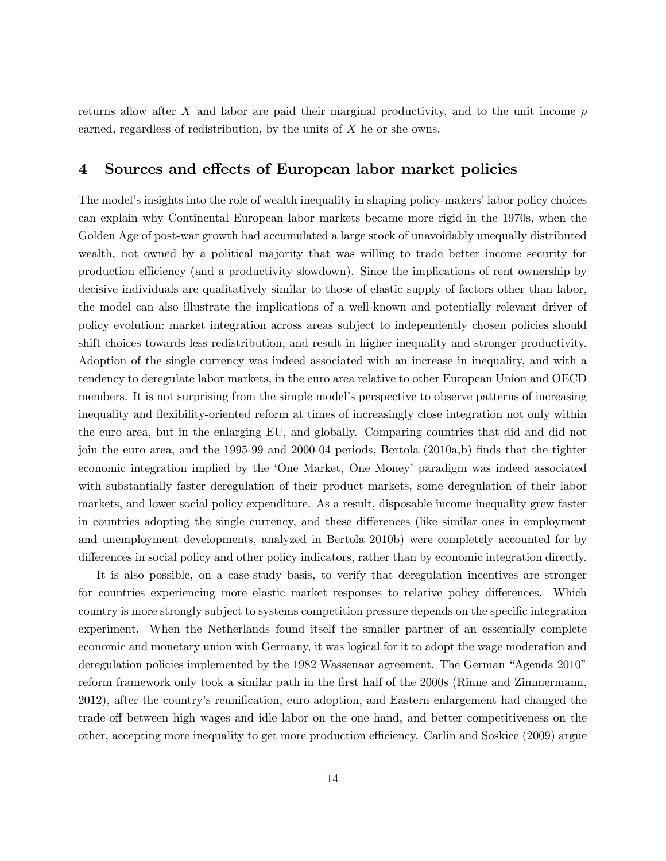returns allow after X and labor are paid their marginal productivity, and to the unit income  $\rho$ earned, regardless of redistribution, by the units of X he or she owns.

### 4 Sources and effects of European labor market policies

The model's insights into the role of wealth inequality in shaping policy-makers' labor policy choices can explain why Continental European labor markets became more rigid in the 1970s, when the Golden Age of post-war growth had accumulated a large stock of unavoidably unequally distributed wealth, not owned by a political majority that was willing to trade better income security for production efficiency (and a productivity slowdown). Since the implications of rent ownership by decisive individuals are qualitatively similar to those of elastic supply of factors other than labor, the model can also illustrate the implications of a well-known and potentially relevant driver of policy evolution: market integration across areas subject to independently chosen policies should shift choices towards less redistribution, and result in higher inequality and stronger productivity. Adoption of the single currency was indeed associated with an increase in inequality, and with a tendency to deregulate labor markets, in the euro area relative to other European Union and OECD members. It is not surprising from the simple model's perspective to observe patterns of increasing inequality and flexibility-oriented reform at times of increasingly close integration not only within the euro area, but in the enlarging EU, and globally. Comparing countries that did and did not join the euro area, and the 1995-99 and 2000-04 periods, Bertola (2010a,b) Önds that the tighter economic integration implied by the ëOne Market, One Moneyí paradigm was indeed associated with substantially faster deregulation of their product markets, some deregulation of their labor markets, and lower social policy expenditure. As a result, disposable income inequality grew faster in countries adopting the single currency, and these differences (like similar ones in employment and unemployment developments, analyzed in Bertola 2010b) were completely accounted for by differences in social policy and other policy indicators, rather than by economic integration directly.

It is also possible, on a case-study basis, to verify that deregulation incentives are stronger for countries experiencing more elastic market responses to relative policy differences. Which country is more strongly subject to systems competition pressure depends on the specific integration experiment. When the Netherlands found itself the smaller partner of an essentially complete economic and monetary union with Germany, it was logical for it to adopt the wage moderation and deregulation policies implemented by the 1982 Wassenaar agreement. The German "Agenda 2010" reform framework only took a similar path in the first half of the 2000s (Rinne and Zimmermann, 2012), after the country's reunification, euro adoption, and Eastern enlargement had changed the trade-off between high wages and idle labor on the one hand, and better competitiveness on the other, accepting more inequality to get more production efficiency. Carlin and Soskice (2009) argue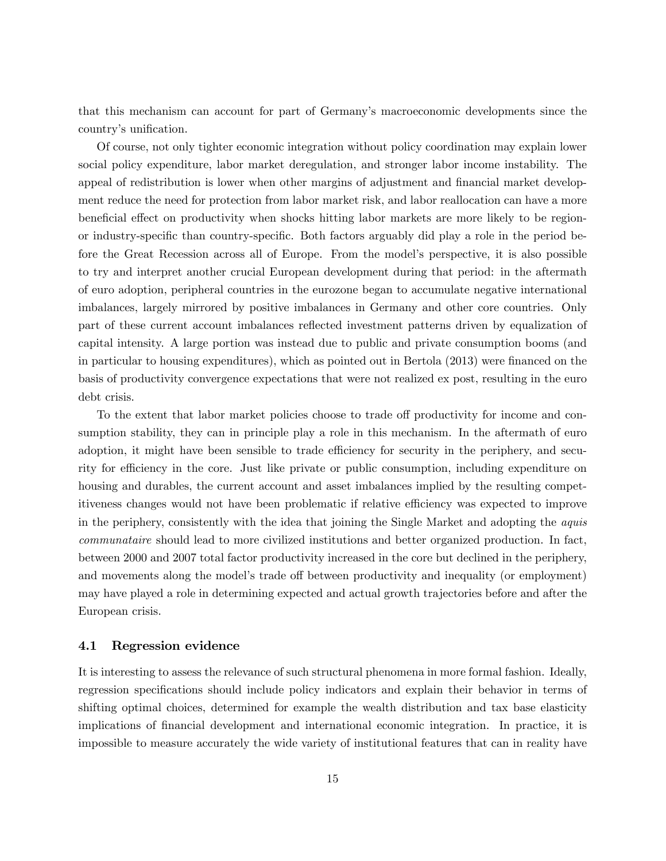that this mechanism can account for part of Germanyís macroeconomic developments since the country's unification.

Of course, not only tighter economic integration without policy coordination may explain lower social policy expenditure, labor market deregulation, and stronger labor income instability. The appeal of redistribution is lower when other margins of adjustment and financial market development reduce the need for protection from labor market risk, and labor reallocation can have a more beneficial effect on productivity when shocks hitting labor markets are more likely to be regionor industry-specific than country-specific. Both factors arguably did play a role in the period before the Great Recession across all of Europe. From the model's perspective, it is also possible to try and interpret another crucial European development during that period: in the aftermath of euro adoption, peripheral countries in the eurozone began to accumulate negative international imbalances, largely mirrored by positive imbalances in Germany and other core countries. Only part of these current account imbalances reflected investment patterns driven by equalization of capital intensity. A large portion was instead due to public and private consumption booms (and in particular to housing expenditures), which as pointed out in Bertola  $(2013)$  were financed on the basis of productivity convergence expectations that were not realized ex post, resulting in the euro debt crisis.

To the extent that labor market policies choose to trade off productivity for income and consumption stability, they can in principle play a role in this mechanism. In the aftermath of euro adoption, it might have been sensible to trade efficiency for security in the periphery, and security for efficiency in the core. Just like private or public consumption, including expenditure on housing and durables, the current account and asset imbalances implied by the resulting competitiveness changes would not have been problematic if relative efficiency was expected to improve in the periphery, consistently with the idea that joining the Single Market and adopting the aquis communataire should lead to more civilized institutions and better organized production. In fact, between 2000 and 2007 total factor productivity increased in the core but declined in the periphery, and movements along the model's trade off between productivity and inequality (or employment) may have played a role in determining expected and actual growth trajectories before and after the European crisis.

### 4.1 Regression evidence

It is interesting to assess the relevance of such structural phenomena in more formal fashion. Ideally, regression specifications should include policy indicators and explain their behavior in terms of shifting optimal choices, determined for example the wealth distribution and tax base elasticity implications of financial development and international economic integration. In practice, it is impossible to measure accurately the wide variety of institutional features that can in reality have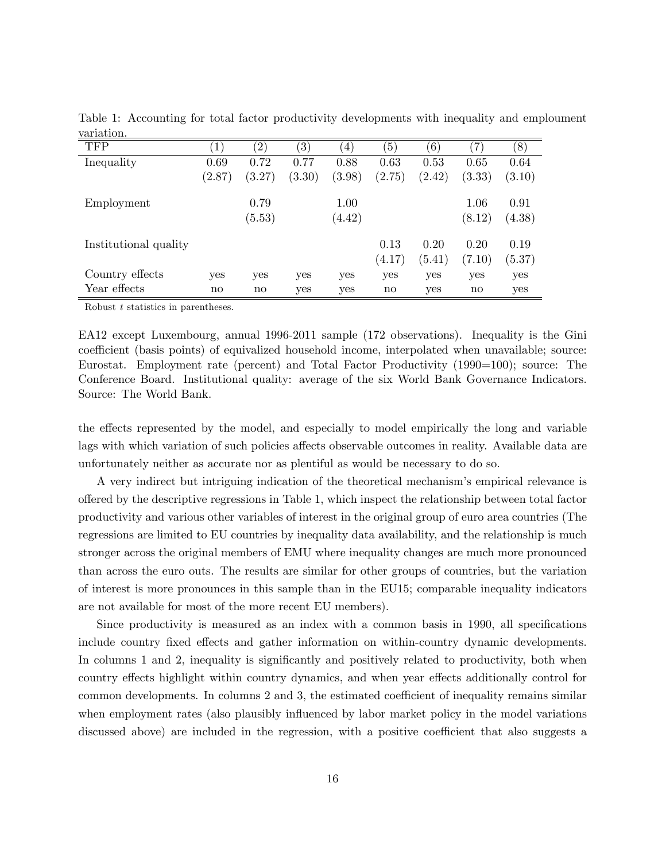| vai 1001011.          |              |                        |                   |                |                  |        |                   |        |
|-----------------------|--------------|------------------------|-------------------|----------------|------------------|--------|-------------------|--------|
| <b>TFP</b>            | $\mathbf{1}$ | (2)                    | $\left( 3\right)$ | $^{\prime} 4)$ | $\left(5\right)$ | (6)    | $\left( 7\right)$ | (8)    |
| Inequality            | 0.69         | 0.72                   | 0.77              | 0.88           | 0.63             | 0.53   | 0.65              | 0.64   |
|                       | (2.87)       | (3.27)                 | (3.30)            | (3.98)         | (2.75)           | (2.42) | (3.33)            | (3.10) |
| Employment            |              | 0.79                   |                   | 1.00           |                  |        | 1.06              | 0.91   |
|                       |              | (5.53)                 |                   | (4.42)         |                  |        | (8.12)            | (4.38) |
| Institutional quality |              |                        |                   |                | 0.13             | 0.20   | 0.20              | 0.19   |
|                       |              |                        |                   |                | (4.17)           | (5.41) | (7.10)            | (5.37) |
| Country effects       | yes          | yes                    | yes               | yes            | yes              | yes    | yes               | yes    |
| Year effects          | $\mathbf{n}$ | $\mathbf{n}\mathbf{o}$ | yes               | yes            | no               | yes    | $\mathbf{n}$      | yes    |

Table 1: Accounting for total factor productivity developments with inequality and emploument variation.

Robust t statistics in parentheses.

EA12 except Luxembourg, annual 1996-2011 sample (172 observations). Inequality is the Gini coefficient (basis points) of equivalized household income, interpolated when unavailable; source: Eurostat. Employment rate (percent) and Total Factor Productivity (1990=100); source: The Conference Board. Institutional quality: average of the six World Bank Governance Indicators. Source: The World Bank.

the effects represented by the model, and especially to model empirically the long and variable lags with which variation of such policies affects observable outcomes in reality. Available data are unfortunately neither as accurate nor as plentiful as would be necessary to do so.

A very indirect but intriguing indication of the theoretical mechanismís empirical relevance is o§ered by the descriptive regressions in Table 1, which inspect the relationship between total factor productivity and various other variables of interest in the original group of euro area countries (The regressions are limited to EU countries by inequality data availability, and the relationship is much stronger across the original members of EMU where inequality changes are much more pronounced than across the euro outs. The results are similar for other groups of countries, but the variation of interest is more pronounces in this sample than in the EU15; comparable inequality indicators are not available for most of the more recent EU members).

Since productivity is measured as an index with a common basis in 1990, all specifications include country fixed effects and gather information on within-country dynamic developments. In columns 1 and 2, inequality is significantly and positively related to productivity, both when country effects highlight within country dynamics, and when year effects additionally control for common developments. In columns 2 and 3, the estimated coefficient of inequality remains similar when employment rates (also plausibly influenced by labor market policy in the model variations discussed above) are included in the regression, with a positive coefficient that also suggests a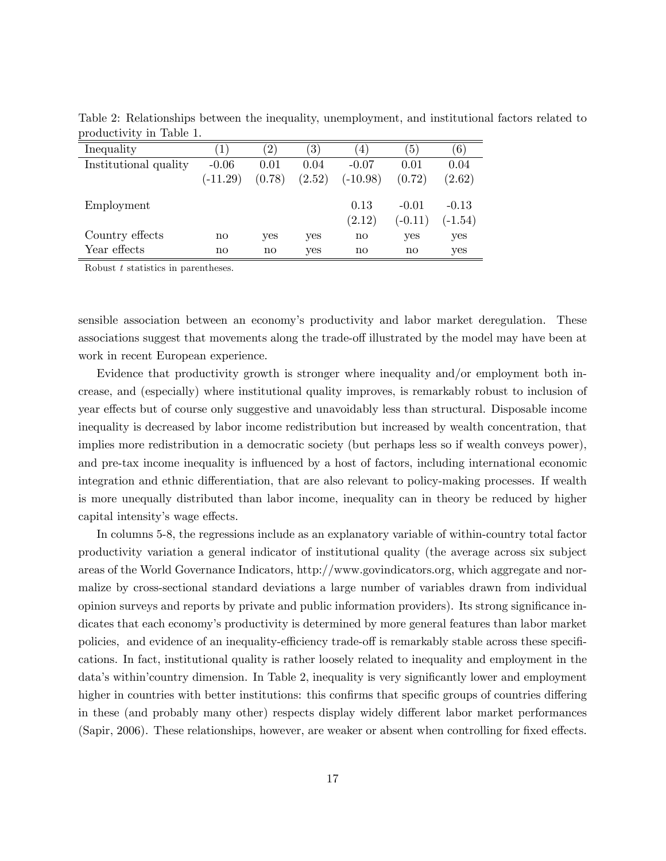| Inequality            | 1)           | $^{'}2)$     | $\left( 3\right)$ | $\overline{4}$         | $\left(5\right)$       | (6)       |
|-----------------------|--------------|--------------|-------------------|------------------------|------------------------|-----------|
| Institutional quality | $-0.06$      | 0.01         | 0.04              | $-0.07$                | 0.01                   | 0.04      |
|                       | $(-11.29)$   | (0.78)       | (2.52)            | $(-10.98)$             | (0.72)                 | (2.62)    |
| Employment            |              |              |                   | 0.13                   | $-0.01$                | $-0.13$   |
|                       |              |              |                   | (2.12)                 | $(-0.11)$              | $(-1.54)$ |
| Country effects       | $\mathbf{n}$ | yes          | yes               | $\mathbf{n}$           | yes                    | yes       |
| Year effects          | $\mathbf{n}$ | $\mathbf{n}$ | yes               | $\mathbf{n}\mathbf{o}$ | $\mathbf{n}\mathbf{o}$ | yes       |

Table 2: Relationships between the inequality, unemployment, and institutional factors related to productivity in Table 1.

Robust t statistics in parentheses.

sensible association between an economyís productivity and labor market deregulation. These associations suggest that movements along the trade-off illustrated by the model may have been at work in recent European experience.

Evidence that productivity growth is stronger where inequality and/or employment both increase, and (especially) where institutional quality improves, is remarkably robust to inclusion of year effects but of course only suggestive and unavoidably less than structural. Disposable income inequality is decreased by labor income redistribution but increased by wealth concentration, that implies more redistribution in a democratic society (but perhaps less so if wealth conveys power), and pre-tax income inequality is influenced by a host of factors, including international economic integration and ethnic differentiation, that are also relevant to policy-making processes. If wealth is more unequally distributed than labor income, inequality can in theory be reduced by higher capital intensity's wage effects.

In columns 5-8, the regressions include as an explanatory variable of within-country total factor productivity variation a general indicator of institutional quality (the average across six subject areas of the World Governance Indicators, http://www.govindicators.org, which aggregate and normalize by cross-sectional standard deviations a large number of variables drawn from individual opinion surveys and reports by private and public information providers). Its strong significance indicates that each economy's productivity is determined by more general features than labor market policies, and evidence of an inequality-efficiency trade-off is remarkably stable across these specifications. In fact, institutional quality is rather loosely related to inequality and employment in the data's within'country dimension. In Table 2, inequality is very significantly lower and employment higher in countries with better institutions: this confirms that specific groups of countries differing in these (and probably many other) respects display widely different labor market performances (Sapir, 2006). These relationships, however, are weaker or absent when controlling for fixed effects.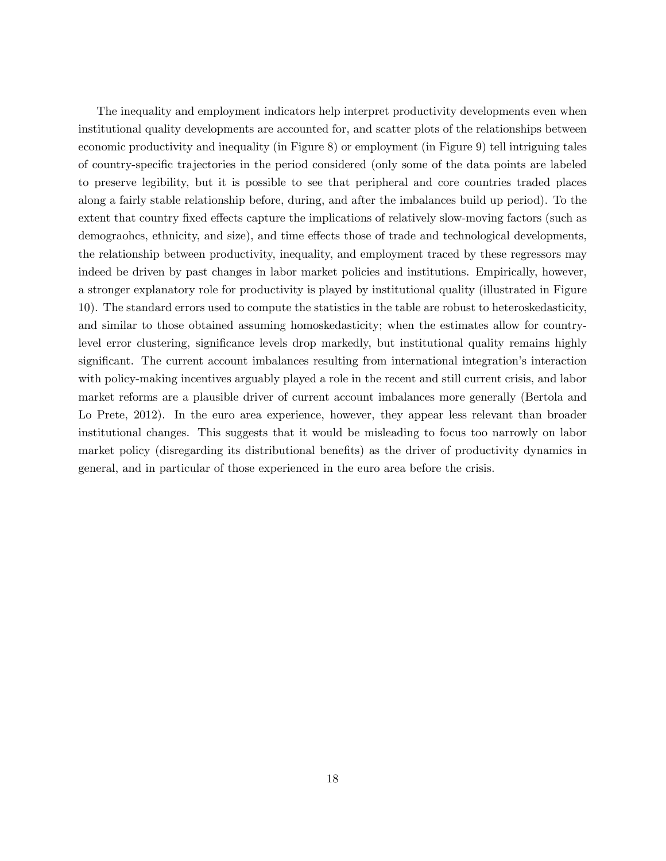The inequality and employment indicators help interpret productivity developments even when institutional quality developments are accounted for, and scatter plots of the relationships between economic productivity and inequality (in Figure 8) or employment (in Figure 9) tell intriguing tales of country-speciÖc trajectories in the period considered (only some of the data points are labeled to preserve legibility, but it is possible to see that peripheral and core countries traded places along a fairly stable relationship before, during, and after the imbalances build up period). To the extent that country fixed effects capture the implications of relatively slow-moving factors (such as demographics, ethnicity, and size), and time effects those of trade and technological developments, the relationship between productivity, inequality, and employment traced by these regressors may indeed be driven by past changes in labor market policies and institutions. Empirically, however, a stronger explanatory role for productivity is played by institutional quality (illustrated in Figure 10). The standard errors used to compute the statistics in the table are robust to heteroskedasticity, and similar to those obtained assuming homoskedasticity; when the estimates allow for countrylevel error clustering, significance levels drop markedly, but institutional quality remains highly significant. The current account imbalances resulting from international integration's interaction with policy-making incentives arguably played a role in the recent and still current crisis, and labor market reforms are a plausible driver of current account imbalances more generally (Bertola and Lo Prete, 2012). In the euro area experience, however, they appear less relevant than broader institutional changes. This suggests that it would be misleading to focus too narrowly on labor market policy (disregarding its distributional benefits) as the driver of productivity dynamics in general, and in particular of those experienced in the euro area before the crisis.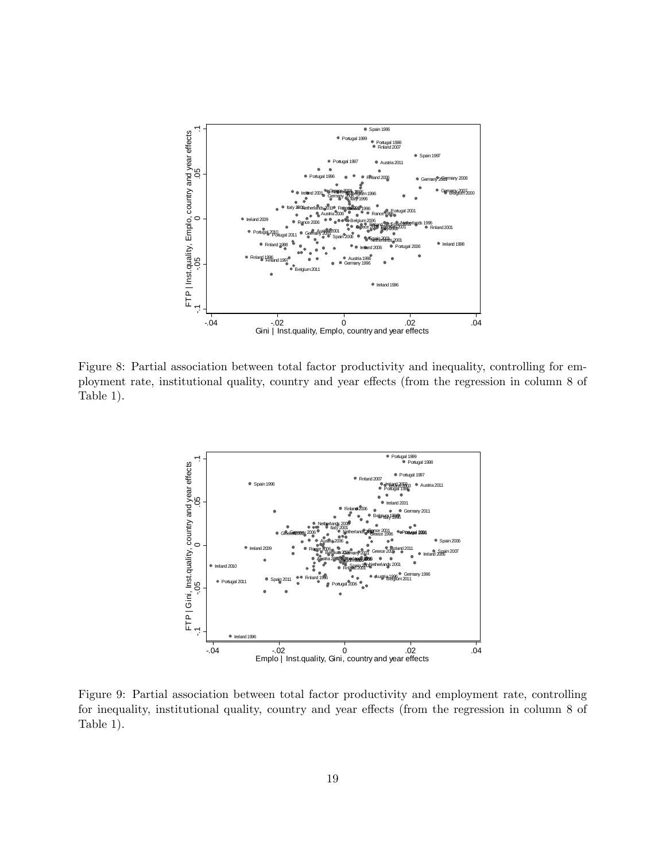

Figure 8: Partial association between total factor productivity and inequality, controlling for employment rate, institutional quality, country and year effects (from the regression in column 8 of Table 1).



Figure 9: Partial association between total factor productivity and employment rate, controlling for inequality, institutional quality, country and year effects (from the regression in column 8 of Table 1).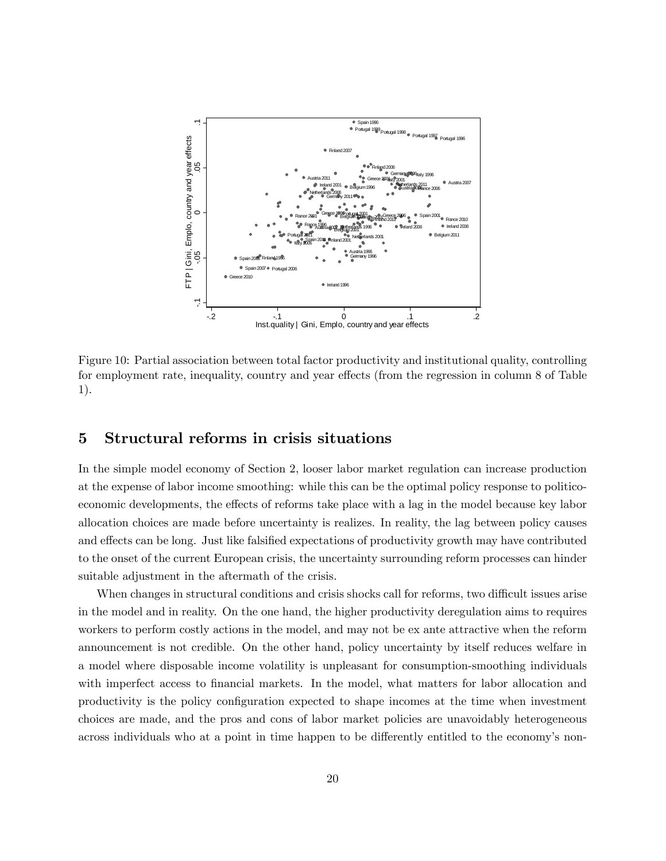

Figure 10: Partial association between total factor productivity and institutional quality, controlling for employment rate, inequality, country and year effects (from the regression in column 8 of Table 1).

## 5 Structural reforms in crisis situations

In the simple model economy of Section 2, looser labor market regulation can increase production at the expense of labor income smoothing: while this can be the optimal policy response to politicoeconomic developments, the effects of reforms take place with a lag in the model because key labor allocation choices are made before uncertainty is realizes. In reality, the lag between policy causes and effects can be long. Just like falsified expectations of productivity growth may have contributed to the onset of the current European crisis, the uncertainty surrounding reform processes can hinder suitable adjustment in the aftermath of the crisis.

When changes in structural conditions and crisis shocks call for reforms, two difficult issues arise in the model and in reality. On the one hand, the higher productivity deregulation aims to requires workers to perform costly actions in the model, and may not be ex ante attractive when the reform announcement is not credible. On the other hand, policy uncertainty by itself reduces welfare in a model where disposable income volatility is unpleasant for consumption-smoothing individuals with imperfect access to financial markets. In the model, what matters for labor allocation and productivity is the policy configuration expected to shape incomes at the time when investment choices are made, and the pros and cons of labor market policies are unavoidably heterogeneous across individuals who at a point in time happen to be differently entitled to the economy's non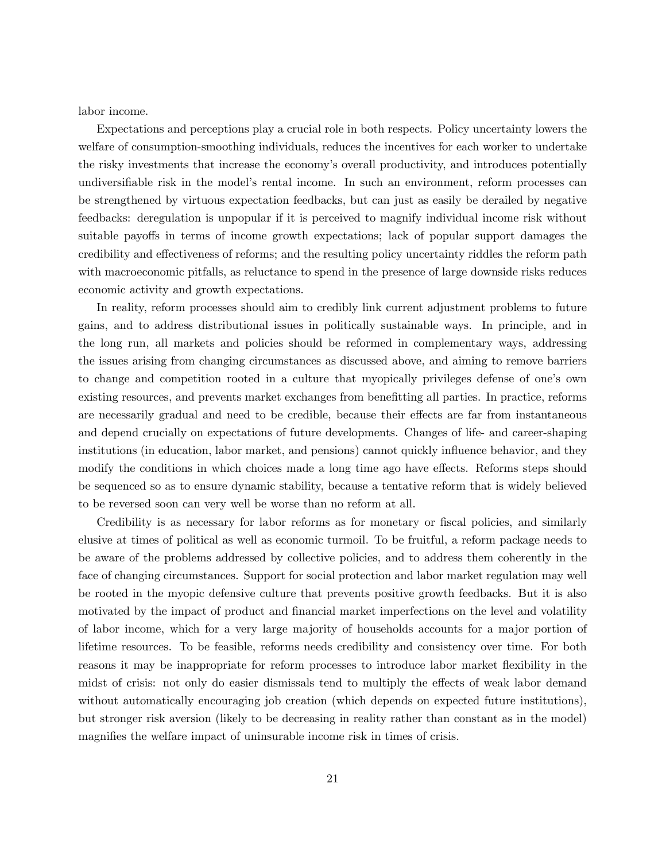labor income.

Expectations and perceptions play a crucial role in both respects. Policy uncertainty lowers the welfare of consumption-smoothing individuals, reduces the incentives for each worker to undertake the risky investments that increase the economyís overall productivity, and introduces potentially undiversifiable risk in the model's rental income. In such an environment, reform processes can be strengthened by virtuous expectation feedbacks, but can just as easily be derailed by negative feedbacks: deregulation is unpopular if it is perceived to magnify individual income risk without suitable payoffs in terms of income growth expectations; lack of popular support damages the credibility and effectiveness of reforms; and the resulting policy uncertainty riddles the reform path with macroeconomic pitfalls, as reluctance to spend in the presence of large downside risks reduces economic activity and growth expectations.

In reality, reform processes should aim to credibly link current adjustment problems to future gains, and to address distributional issues in politically sustainable ways. In principle, and in the long run, all markets and policies should be reformed in complementary ways, addressing the issues arising from changing circumstances as discussed above, and aiming to remove barriers to change and competition rooted in a culture that myopically privileges defense of one's own existing resources, and prevents market exchanges from benefitting all parties. In practice, reforms are necessarily gradual and need to be credible, because their effects are far from instantaneous and depend crucially on expectations of future developments. Changes of life- and career-shaping institutions (in education, labor market, and pensions) cannot quickly influence behavior, and they modify the conditions in which choices made a long time ago have effects. Reforms steps should be sequenced so as to ensure dynamic stability, because a tentative reform that is widely believed to be reversed soon can very well be worse than no reform at all.

Credibility is as necessary for labor reforms as for monetary or fiscal policies, and similarly elusive at times of political as well as economic turmoil. To be fruitful, a reform package needs to be aware of the problems addressed by collective policies, and to address them coherently in the face of changing circumstances. Support for social protection and labor market regulation may well be rooted in the myopic defensive culture that prevents positive growth feedbacks. But it is also motivated by the impact of product and financial market imperfections on the level and volatility of labor income, which for a very large majority of households accounts for a major portion of lifetime resources. To be feasible, reforms needs credibility and consistency over time. For both reasons it may be inappropriate for reform processes to introduce labor market flexibility in the midst of crisis: not only do easier dismissals tend to multiply the effects of weak labor demand without automatically encouraging job creation (which depends on expected future institutions), but stronger risk aversion (likely to be decreasing in reality rather than constant as in the model) magnifies the welfare impact of uninsurable income risk in times of crisis.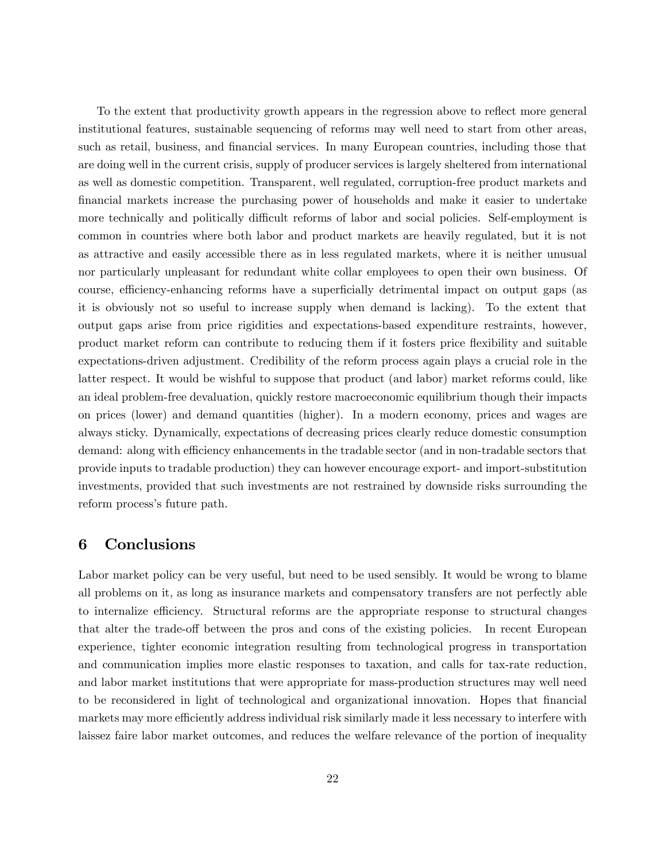To the extent that productivity growth appears in the regression above to reflect more general institutional features, sustainable sequencing of reforms may well need to start from other areas, such as retail, business, and financial services. In many European countries, including those that are doing well in the current crisis, supply of producer services is largely sheltered from international as well as domestic competition. Transparent, well regulated, corruption-free product markets and Önancial markets increase the purchasing power of households and make it easier to undertake more technically and politically difficult reforms of labor and social policies. Self-employment is common in countries where both labor and product markets are heavily regulated, but it is not as attractive and easily accessible there as in less regulated markets, where it is neither unusual nor particularly unpleasant for redundant white collar employees to open their own business. Of course, efficiency-enhancing reforms have a superficially detrimental impact on output gaps (as it is obviously not so useful to increase supply when demand is lacking). To the extent that output gaps arise from price rigidities and expectations-based expenditure restraints, however, product market reform can contribute to reducing them if it fosters price áexibility and suitable expectations-driven adjustment. Credibility of the reform process again plays a crucial role in the latter respect. It would be wishful to suppose that product (and labor) market reforms could, like an ideal problem-free devaluation, quickly restore macroeconomic equilibrium though their impacts on prices (lower) and demand quantities (higher). In a modern economy, prices and wages are always sticky. Dynamically, expectations of decreasing prices clearly reduce domestic consumption demand: along with efficiency enhancements in the tradable sector (and in non-tradable sectors that provide inputs to tradable production) they can however encourage export- and import-substitution investments, provided that such investments are not restrained by downside risks surrounding the reform process's future path.

### 6 Conclusions

Labor market policy can be very useful, but need to be used sensibly. It would be wrong to blame all problems on it, as long as insurance markets and compensatory transfers are not perfectly able to internalize efficiency. Structural reforms are the appropriate response to structural changes that alter the trade-off between the pros and cons of the existing policies. In recent European experience, tighter economic integration resulting from technological progress in transportation and communication implies more elastic responses to taxation, and calls for tax-rate reduction, and labor market institutions that were appropriate for mass-production structures may well need to be reconsidered in light of technological and organizational innovation. Hopes that financial markets may more efficiently address individual risk similarly made it less necessary to interfere with laissez faire labor market outcomes, and reduces the welfare relevance of the portion of inequality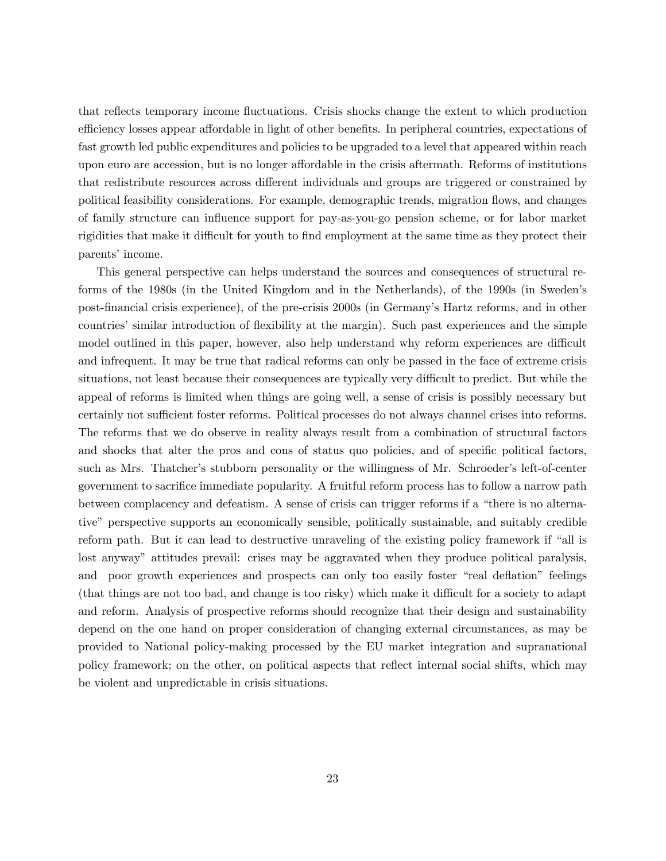that reflects temporary income fluctuations. Crisis shocks change the extent to which production efficiency losses appear affordable in light of other benefits. In peripheral countries, expectations of fast growth led public expenditures and policies to be upgraded to a level that appeared within reach upon euro are accession, but is no longer affordable in the crisis aftermath. Reforms of institutions that redistribute resources across different individuals and groups are triggered or constrained by political feasibility considerations. For example, demographic trends, migration flows, and changes of family structure can influence support for pay-as-you-go pension scheme, or for labor market rigidities that make it difficult for youth to find employment at the same time as they protect their parents' income.

This general perspective can helps understand the sources and consequences of structural reforms of the 1980s (in the United Kingdom and in the Netherlands), of the 1990s (in Sweden's post-financial crisis experience), of the pre-crisis 2000s (in Germany's Hartz reforms, and in other countries' similar introduction of flexibility at the margin). Such past experiences and the simple model outlined in this paper, however, also help understand why reform experiences are difficult and infrequent. It may be true that radical reforms can only be passed in the face of extreme crisis situations, not least because their consequences are typically very difficult to predict. But while the appeal of reforms is limited when things are going well, a sense of crisis is possibly necessary but certainly not sufficient foster reforms. Political processes do not always channel crises into reforms. The reforms that we do observe in reality always result from a combination of structural factors and shocks that alter the pros and cons of status quo policies, and of specific political factors, such as Mrs. Thatcher's stubborn personality or the willingness of Mr. Schroeder's left-of-center government to sacrifice immediate popularity. A fruitful reform process has to follow a narrow path between complacency and defeatism. A sense of crisis can trigger reforms if a "there is no alternative" perspective supports an economically sensible, politically sustainable, and suitably credible reform path. But it can lead to destructive unraveling of the existing policy framework if "all is lost anyway" attitudes prevail: crises may be aggravated when they produce political paralysis, and poor growth experiences and prospects can only too easily foster "real deflation" feelings (that things are not too bad, and change is too risky) which make it difficult for a society to adapt and reform. Analysis of prospective reforms should recognize that their design and sustainability depend on the one hand on proper consideration of changing external circumstances, as may be provided to National policy-making processed by the EU market integration and supranational policy framework; on the other, on political aspects that reflect internal social shifts, which may be violent and unpredictable in crisis situations.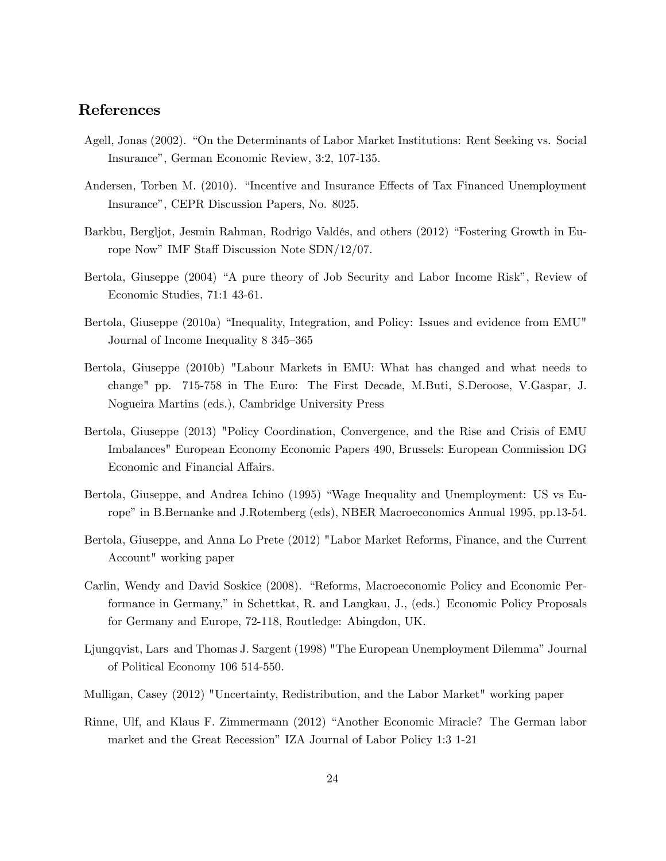### References

- Agell, Jonas (2002). "On the Determinants of Labor Market Institutions: Rent Seeking vs. Social Insurance", German Economic Review, 3:2, 107-135.
- Andersen, Torben M. (2010). "Incentive and Insurance Effects of Tax Financed Unemployment Insurance", CEPR Discussion Papers, No. 8025.
- Barkbu, Bergljot, Jesmin Rahman, Rodrigo Valdés, and others (2012) "Fostering Growth in Europe Now" IMF Staff Discussion Note SDN/12/07.
- Bertola, Giuseppe (2004) "A pure theory of Job Security and Labor Income Risk", Review of Economic Studies, 71:1 43-61.
- Bertola, Giuseppe (2010a) "Inequality, Integration, and Policy: Issues and evidence from EMU" Journal of Income Inequality 8 345-365
- Bertola, Giuseppe (2010b) "Labour Markets in EMU: What has changed and what needs to change" pp. 715-758 in The Euro: The First Decade, M.Buti, S.Deroose, V.Gaspar, J. Nogueira Martins (eds.), Cambridge University Press
- Bertola, Giuseppe (2013) "Policy Coordination, Convergence, and the Rise and Crisis of EMU Imbalances" European Economy Economic Papers 490, Brussels: European Commission DG Economic and Financial Affairs.
- Bertola, Giuseppe, and Andrea Ichino (1995) "Wage Inequality and Unemployment: US vs Europe" in B.Bernanke and J.Rotemberg (eds), NBER Macroeconomics Annual 1995, pp.13-54.
- Bertola, Giuseppe, and Anna Lo Prete (2012) "Labor Market Reforms, Finance, and the Current Account" working paper
- Carlin, Wendy and David Soskice (2008). "Reforms, Macroeconomic Policy and Economic Performance in Germany," in Schettkat, R. and Langkau, J., (eds.) Economic Policy Proposals for Germany and Europe, 72-118, Routledge: Abingdon, UK.
- Ljungqvist, Lars and Thomas J. Sargent (1998) "The European Unemployment Dilemma" Journal of Political Economy 106 514-550.
- Mulligan, Casey (2012) "Uncertainty, Redistribution, and the Labor Market" working paper
- Rinne, Ulf, and Klaus F. Zimmermann (2012) "Another Economic Miracle? The German labor market and the Great Recession" IZA Journal of Labor Policy 1:3 1-21